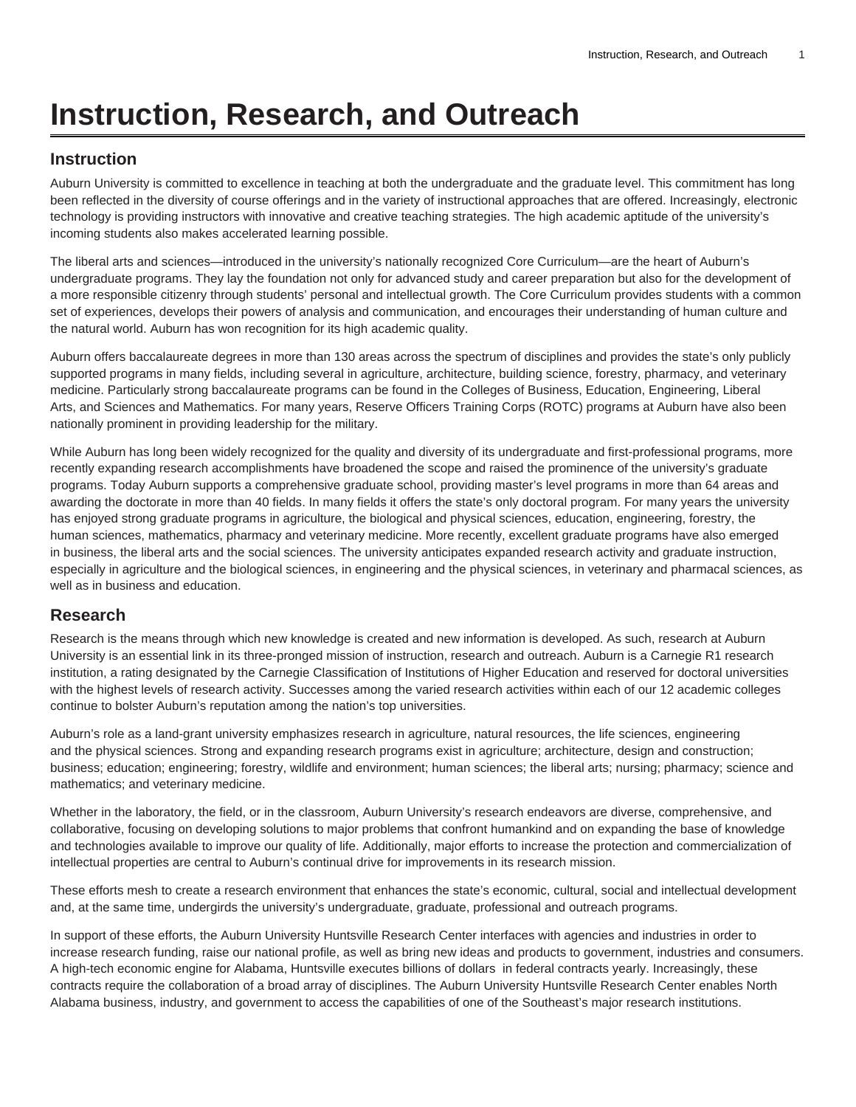## **Instruction, Research, and Outreach**

## **Instruction**

Auburn University is committed to excellence in teaching at both the undergraduate and the graduate level. This commitment has long been reflected in the diversity of course offerings and in the variety of instructional approaches that are offered. Increasingly, electronic technology is providing instructors with innovative and creative teaching strategies. The high academic aptitude of the university's incoming students also makes accelerated learning possible.

The liberal arts and sciences—introduced in the university's nationally recognized Core Curriculum—are the heart of Auburn's undergraduate programs. They lay the foundation not only for advanced study and career preparation but also for the development of a more responsible citizenry through students' personal and intellectual growth. The Core Curriculum provides students with a common set of experiences, develops their powers of analysis and communication, and encourages their understanding of human culture and the natural world. Auburn has won recognition for its high academic quality.

Auburn offers baccalaureate degrees in more than 130 areas across the spectrum of disciplines and provides the state's only publicly supported programs in many fields, including several in agriculture, architecture, building science, forestry, pharmacy, and veterinary medicine. Particularly strong baccalaureate programs can be found in the Colleges of Business, Education, Engineering, Liberal Arts, and Sciences and Mathematics. For many years, Reserve Officers Training Corps (ROTC) programs at Auburn have also been nationally prominent in providing leadership for the military.

While Auburn has long been widely recognized for the quality and diversity of its undergraduate and first-professional programs, more recently expanding research accomplishments have broadened the scope and raised the prominence of the university's graduate programs. Today Auburn supports a comprehensive graduate school, providing master's level programs in more than 64 areas and awarding the doctorate in more than 40 fields. In many fields it offers the state's only doctoral program. For many years the university has enjoyed strong graduate programs in agriculture, the biological and physical sciences, education, engineering, forestry, the human sciences, mathematics, pharmacy and veterinary medicine. More recently, excellent graduate programs have also emerged in business, the liberal arts and the social sciences. The university anticipates expanded research activity and graduate instruction, especially in agriculture and the biological sciences, in engineering and the physical sciences, in veterinary and pharmacal sciences, as well as in business and education.

## **Research**

Research is the means through which new knowledge is created and new information is developed. As such, research at Auburn University is an essential link in its three-pronged mission of instruction, research and outreach. Auburn is a Carnegie R1 research institution, a rating designated by the Carnegie Classification of Institutions of Higher Education and reserved for doctoral universities with the highest levels of research activity. Successes among the varied research activities within each of our 12 academic colleges continue to bolster Auburn's reputation among the nation's top universities.

Auburn's role as a land-grant university emphasizes research in agriculture, natural resources, the life sciences, engineering and the physical sciences. Strong and expanding research programs exist in agriculture; architecture, design and construction; business; education; engineering; forestry, wildlife and environment; human sciences; the liberal arts; nursing; pharmacy; science and mathematics; and veterinary medicine.

Whether in the laboratory, the field, or in the classroom, Auburn University's research endeavors are diverse, comprehensive, and collaborative, focusing on developing solutions to major problems that confront humankind and on expanding the base of knowledge and technologies available to improve our quality of life. Additionally, major efforts to increase the protection and commercialization of intellectual properties are central to Auburn's continual drive for improvements in its research mission.

These efforts mesh to create a research environment that enhances the state's economic, cultural, social and intellectual development and, at the same time, undergirds the university's undergraduate, graduate, professional and outreach programs.

In support of these efforts, the Auburn University Huntsville Research Center interfaces with agencies and industries in order to increase research funding, raise our national profile, as well as bring new ideas and products to government, industries and consumers. A high-tech economic engine for Alabama, Huntsville executes billions of dollars in federal contracts yearly. Increasingly, these contracts require the collaboration of a broad array of disciplines. The Auburn University Huntsville Research Center enables North Alabama business, industry, and government to access the capabilities of one of the Southeast's major research institutions.